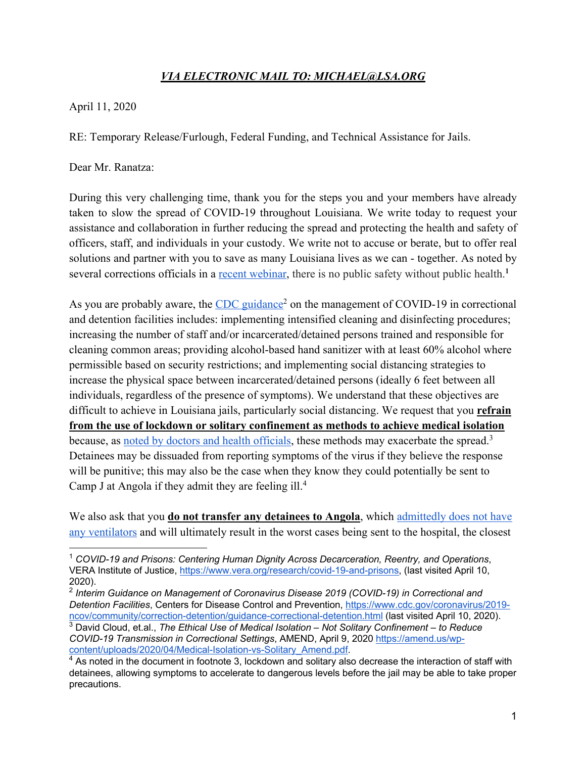## *VIA ELECTRONIC MAIL TO: MICHAEL@LSA.ORG*

April 11, 2020

RE: Temporary Release/Furlough, Federal Funding, and Technical Assistance for Jails.

Dear Mr. Ranatza:

During this very challenging time, thank you for the steps you and your members have already taken to slow the spread of COVID-19 throughout Louisiana. We write today to request your assistance and collaboration in further reducing the spread and protecting the health and safety of officers, staff, and individuals in your custody. We write not to accuse or berate, but to offer real solutions and partner with you to save as many Louisiana lives as we can - together. As noted by several corrections officials in a recent webinar, there is no public safety without public health.**<sup>1</sup>**

As you are probably aware, the CDC guidance<sup>2</sup> on the management of COVID-19 in correctional and detention facilities includes: implementing intensified cleaning and disinfecting procedures; increasing the number of staff and/or incarcerated/detained persons trained and responsible for cleaning common areas; providing alcohol-based hand sanitizer with at least 60% alcohol where permissible based on security restrictions; and implementing social distancing strategies to increase the physical space between incarcerated/detained persons (ideally 6 feet between all individuals, regardless of the presence of symptoms). We understand that these objectives are difficult to achieve in Louisiana jails, particularly social distancing. We request that you **refrain from the use of lockdown or solitary confinement as methods to achieve medical isolation** because, as noted by doctors and health officials, these methods may exacerbate the spread.<sup>3</sup> Detainees may be dissuaded from reporting symptoms of the virus if they believe the response will be punitive; this may also be the case when they know they could potentially be sent to Camp J at Angola if they admit they are feeling ill.4

We also ask that you **do not transfer any detainees to Angola**, which admittedly does not have any ventilators and will ultimately result in the worst cases being sent to the hospital, the closest

<sup>1</sup> *COVID-19 and Prisons: Centering Human Dignity Across Decarceration, Reentry, and Operations*, VERA Institute of Justice, https://www.vera.org/research/covid-19-and-prisons, (last visited April 10, 2020).

<sup>2</sup> *Interim Guidance on Management of Coronavirus Disease 2019 (COVID-19) in Correctional and Detention Facilities*, Centers for Disease Control and Prevention, https://www.cdc.gov/coronavirus/2019 ncov/community/correction-detention/guidance-correctional-detention.html (last visited April 10, 2020).

<sup>3</sup> David Cloud, et.al., *The Ethical Use of Medical Isolation – Not Solitary Confinement – to Reduce COVID-19 Transmission in Correctional Settings*, AMEND, April 9, 2020 https://amend.us/wpcontent/uploads/2020/04/Medical-Isolation-vs-Solitary\_Amend.pdf.

 $4$  As noted in the document in footnote 3, lockdown and solitary also decrease the interaction of staff with detainees, allowing symptoms to accelerate to dangerous levels before the jail may be able to take proper precautions.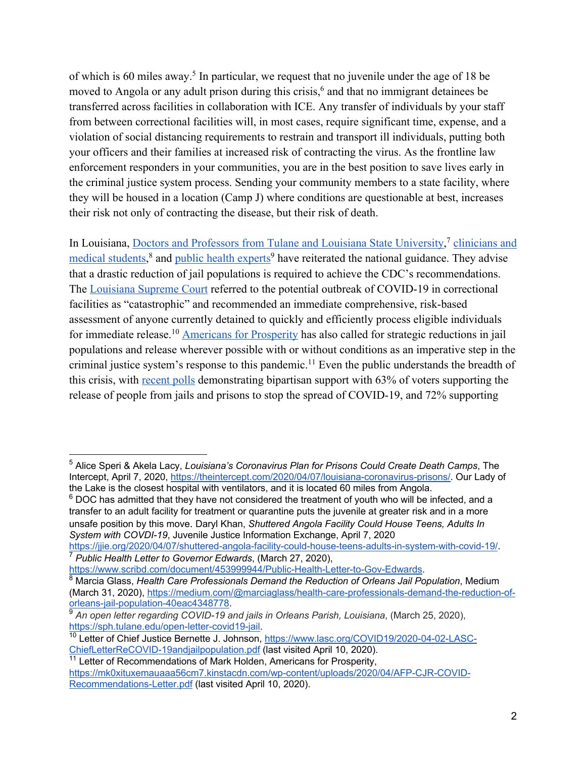of which is 60 miles away.5 In particular, we request that no juvenile under the age of 18 be moved to Angola or any adult prison during this crisis,<sup>6</sup> and that no immigrant detainees be transferred across facilities in collaboration with ICE. Any transfer of individuals by your staff from between correctional facilities will, in most cases, require significant time, expense, and a violation of social distancing requirements to restrain and transport ill individuals, putting both your officers and their families at increased risk of contracting the virus. As the frontline law enforcement responders in your communities, you are in the best position to save lives early in the criminal justice system process. Sending your community members to a state facility, where they will be housed in a location (Camp J) where conditions are questionable at best, increases their risk not only of contracting the disease, but their risk of death.

In Louisiana, Doctors and Professors from Tulane and Louisiana State University,<sup>7</sup> clinicians and medical students,<sup>8</sup> and public health experts<sup>9</sup> have reiterated the national guidance. They advise that a drastic reduction of jail populations is required to achieve the CDC's recommendations. The Louisiana Supreme Court referred to the potential outbreak of COVID-19 in correctional facilities as "catastrophic" and recommended an immediate comprehensive, risk-based assessment of anyone currently detained to quickly and efficiently process eligible individuals for immediate release.<sup>10</sup> Americans for Prosperity has also called for strategic reductions in jail populations and release wherever possible with or without conditions as an imperative step in the criminal justice system's response to this pandemic.<sup>11</sup> Even the public understands the breadth of this crisis, with recent polls demonstrating bipartisan support with 63% of voters supporting the release of people from jails and prisons to stop the spread of COVID-19, and 72% supporting

 $6$  DOC has admitted that they have not considered the treatment of youth who will be infected, and a transfer to an adult facility for treatment or quarantine puts the juvenile at greater risk and in a more unsafe position by this move. Daryl Khan, *Shuttered Angola Facility Could House Teens, Adults In System with COVDI-19*, Juvenile Justice Information Exchange, April 7, 2020

https://jjie.org/2020/04/07/shuttered-angola-facility-could-house-teens-adults-in-system-with-covid-19/. <sup>7</sup> *Public Health Letter to Governor Edwards*, (March 27, 2020),

<sup>5</sup> Alice Speri & Akela Lacy, *Louisiana's Coronavirus Plan for Prisons Could Create Death Camps*, The Intercept, April 7, 2020, https://theintercept.com/2020/04/07/louisiana-coronavirus-prisons/. Our Lady of the Lake is the closest hospital with ventilators, and it is located 60 miles from Angola.

https://www.scribd.com/document/453999944/Public-Health-Letter-to-Gov-Edwards.

<sup>8</sup> Marcia Glass, *Health Care Professionals Demand the Reduction of Orleans Jail Population*, Medium (March 31, 2020), https://medium.com/@marciaglass/health-care-professionals-demand-the-reduction-oforleans-jail-population-40eac4348778.

<sup>9</sup> *An open letter regarding COVID-19 and jails in Orleans Parish, Louisiana*, (March 25, 2020), https://sph.tulane.edu/open-letter-covid19-jail.

<sup>&</sup>lt;sup>10</sup> Letter of Chief Justice Bernette J. Johnson, https://www.lasc.org/COVID19/2020-04-02-LASC-ChiefLetterReCOVID-19andjailpopulation.pdf (last visited April 10, 2020).

<sup>&</sup>lt;sup>11</sup> Letter of Recommendations of Mark Holden, Americans for Prosperity, https://mk0xituxemauaaa56cm7.kinstacdn.com/wp-content/uploads/2020/04/AFP-CJR-COVID-Recommendations-Letter.pdf (last visited April 10, 2020).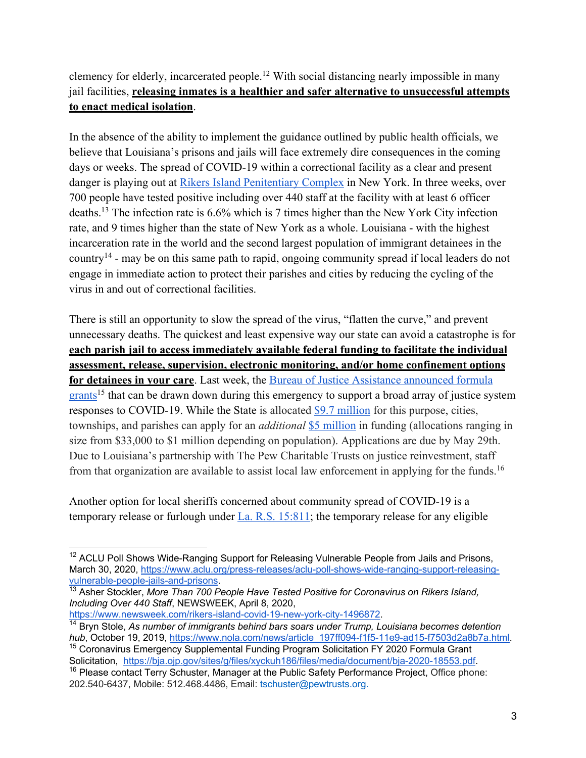## clemency for elderly, incarcerated people.12 With social distancing nearly impossible in many jail facilities, **releasing inmates is a healthier and safer alternative to unsuccessful attempts to enact medical isolation**.

In the absence of the ability to implement the guidance outlined by public health officials, we believe that Louisiana's prisons and jails will face extremely dire consequences in the coming days or weeks. The spread of COVID-19 within a correctional facility as a clear and present danger is playing out at Rikers Island Penitentiary Complex in New York. In three weeks, over 700 people have tested positive including over 440 staff at the facility with at least 6 officer deaths.13 The infection rate is 6.6% which is 7 times higher than the New York City infection rate, and 9 times higher than the state of New York as a whole. Louisiana - with the highest incarceration rate in the world and the second largest population of immigrant detainees in the country14 - may be on this same path to rapid, ongoing community spread if local leaders do not engage in immediate action to protect their parishes and cities by reducing the cycling of the virus in and out of correctional facilities.

There is still an opportunity to slow the spread of the virus, "flatten the curve," and prevent unnecessary deaths. The quickest and least expensive way our state can avoid a catastrophe is for **each parish jail to access immediately available federal funding to facilitate the individual assessment, release, supervision, electronic monitoring, and/or home confinement options for detainees in your care**. Last week, the Bureau of Justice Assistance announced formula grants<sup>15</sup> that can be drawn down during this emergency to support a broad array of justice system responses to COVID-19. While the State is allocated \$9.7 million for this purpose, cities, townships, and parishes can apply for an *additional* \$5 million in funding (allocations ranging in size from \$33,000 to \$1 million depending on population). Applications are due by May 29th. Due to Louisiana's partnership with The Pew Charitable Trusts on justice reinvestment, staff from that organization are available to assist local law enforcement in applying for the funds.<sup>16</sup>

Another option for local sheriffs concerned about community spread of COVID-19 is a temporary release or furlough under La. R.S. 15:811; the temporary release for any eligible

https://www.newsweek.com/rikers-island-covid-19-new-york-city-1496872.

<sup>&</sup>lt;sup>12</sup> ACLU Poll Shows Wide-Ranging Support for Releasing Vulnerable People from Jails and Prisons, March 30, 2020, https://www.aclu.org/press-releases/aclu-poll-shows-wide-ranging-support-releasingvulnerable-people-jails-and-prisons.

<sup>13</sup> Asher Stockler, *More Than 700 People Have Tested Positive for Coronavirus on Rikers Island, Including Over 440 Staff*, NEWSWEEK, April 8, 2020,

<sup>14</sup> Bryn Stole, *As number of immigrants behind bars soars under Trump, Louisiana becomes detention hub*, October 19, 2019, https://www.nola.com/news/article\_197ff094-f1f5-11e9-ad15-f7503d2a8b7a.html.

<sup>&</sup>lt;sup>15</sup> Coronavirus Emergency Supplemental Funding Program Solicitation FY 2020 Formula Grant Solicitation, https://bja.ojp.gov/sites/g/files/xyckuh186/files/media/document/bja-2020-18553.pdf.

<sup>&</sup>lt;sup>16</sup> Please contact Terry Schuster, Manager at the Public Safety Performance Project, Office phone: 202.540-6437, Mobile: 512.468.4486, Email: tschuster@pewtrusts.org.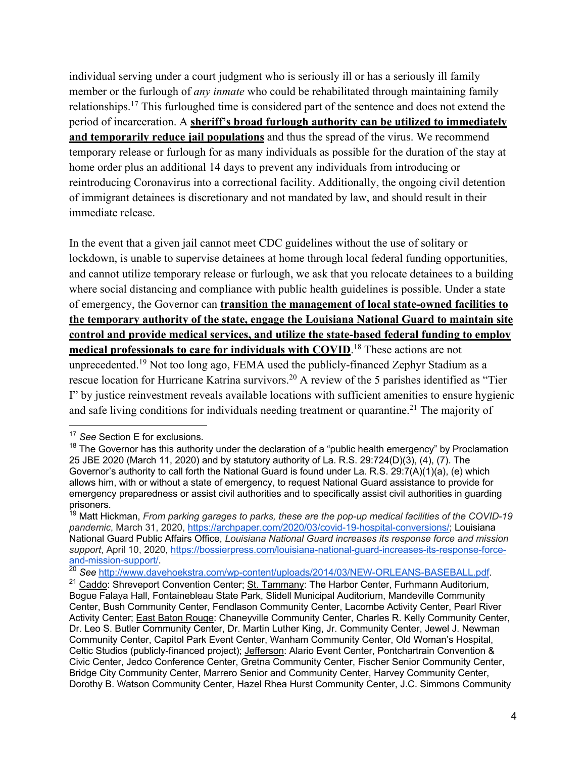individual serving under a court judgment who is seriously ill or has a seriously ill family member or the furlough of *any inmate* who could be rehabilitated through maintaining family relationships.17 This furloughed time is considered part of the sentence and does not extend the period of incarceration. A **sheriff's broad furlough authority can be utilized to immediately and temporarily reduce jail populations** and thus the spread of the virus. We recommend temporary release or furlough for as many individuals as possible for the duration of the stay at home order plus an additional 14 days to prevent any individuals from introducing or reintroducing Coronavirus into a correctional facility. Additionally, the ongoing civil detention of immigrant detainees is discretionary and not mandated by law, and should result in their immediate release.

In the event that a given jail cannot meet CDC guidelines without the use of solitary or lockdown, is unable to supervise detainees at home through local federal funding opportunities, and cannot utilize temporary release or furlough, we ask that you relocate detainees to a building where social distancing and compliance with public health guidelines is possible. Under a state of emergency, the Governor can **transition the management of local state-owned facilities to the temporary authority of the state, engage the Louisiana National Guard to maintain site control and provide medical services, and utilize the state-based federal funding to employ medical professionals to care for individuals with COVID**. <sup>18</sup> These actions are not unprecedented.19 Not too long ago, FEMA used the publicly-financed Zephyr Stadium as a rescue location for Hurricane Katrina survivors.<sup>20</sup> A review of the 5 parishes identified as "Tier I" by justice reinvestment reveals available locations with sufficient amenities to ensure hygienic and safe living conditions for individuals needing treatment or quarantine.<sup>21</sup> The majority of

<sup>17</sup> *See* Section E for exclusions.

<sup>&</sup>lt;sup>18</sup> The Governor has this authority under the declaration of a "public health emergency" by Proclamation 25 JBE 2020 (March 11, 2020) and by statutory authority of La. R.S. 29:724(D)(3), (4), (7). The Governor's authority to call forth the National Guard is found under La. R.S. 29:7(A)(1)(a), (e) which allows him, with or without a state of emergency, to request National Guard assistance to provide for emergency preparedness or assist civil authorities and to specifically assist civil authorities in guarding prisoners.

<sup>19</sup> Matt Hickman, *From parking garages to parks, these are the pop-up medical facilities of the COVID-19 pandemic*, March 31, 2020, https://archpaper.com/2020/03/covid-19-hospital-conversions/; Louisiana National Guard Public Affairs Office, *Louisiana National Guard increases its response force and mission support*, April 10, 2020, https://bossierpress.com/louisiana-national-guard-increases-its-response-forceand-mission-support/<br> $\frac{20}{20}$  See http://www.davehoekstra.com/wp-content/uploads/2014/03/NEW-ORLEANS-BASEBALL.pdf

<sup>&</sup>lt;sup>21</sup> Caddo: Shreveport Convention Center; St. Tammany: The Harbor Center, Furhmann Auditorium, Bogue Falaya Hall, Fontainebleau State Park, Slidell Municipal Auditorium, Mandeville Community Center, Bush Community Center, Fendlason Community Center, Lacombe Activity Center, Pearl River Activity Center; East Baton Rouge: Chaneyville Community Center, Charles R. Kelly Community Center, Dr. Leo S. Butler Community Center, Dr. Martin Luther King, Jr. Community Center, Jewel J. Newman Community Center, Capitol Park Event Center, Wanham Community Center, Old Woman's Hospital, Celtic Studios (publicly-financed project); Jefferson: Alario Event Center, Pontchartrain Convention & Civic Center, Jedco Conference Center, Gretna Community Center, Fischer Senior Community Center, Bridge City Community Center, Marrero Senior and Community Center, Harvey Community Center, Dorothy B. Watson Community Center, Hazel Rhea Hurst Community Center, J.C. Simmons Community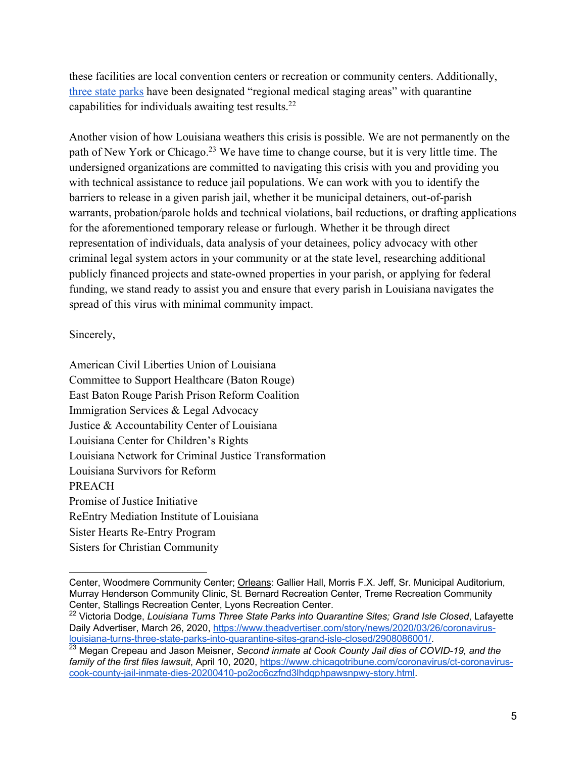these facilities are local convention centers or recreation or community centers. Additionally, three state parks have been designated "regional medical staging areas" with quarantine capabilities for individuals awaiting test results.22

Another vision of how Louisiana weathers this crisis is possible. We are not permanently on the path of New York or Chicago.<sup>23</sup> We have time to change course, but it is very little time. The undersigned organizations are committed to navigating this crisis with you and providing you with technical assistance to reduce jail populations. We can work with you to identify the barriers to release in a given parish jail, whether it be municipal detainers, out-of-parish warrants, probation/parole holds and technical violations, bail reductions, or drafting applications for the aforementioned temporary release or furlough. Whether it be through direct representation of individuals, data analysis of your detainees, policy advocacy with other criminal legal system actors in your community or at the state level, researching additional publicly financed projects and state-owned properties in your parish, or applying for federal funding, we stand ready to assist you and ensure that every parish in Louisiana navigates the spread of this virus with minimal community impact.

Sincerely,

American Civil Liberties Union of Louisiana Committee to Support Healthcare (Baton Rouge) East Baton Rouge Parish Prison Reform Coalition Immigration Services & Legal Advocacy Justice & Accountability Center of Louisiana Louisiana Center for Children's Rights Louisiana Network for Criminal Justice Transformation Louisiana Survivors for Reform PREACH Promise of Justice Initiative ReEntry Mediation Institute of Louisiana Sister Hearts Re-Entry Program Sisters for Christian Community

Center, Woodmere Community Center; Orleans: Gallier Hall, Morris F.X. Jeff, Sr. Municipal Auditorium, Murray Henderson Community Clinic, St. Bernard Recreation Center, Treme Recreation Community Center, Stallings Recreation Center, Lyons Recreation Center.

<sup>22</sup> Victoria Dodge, *Louisiana Turns Three State Parks into Quarantine Sites; Grand Isle Closed*, Lafayette Daily Advertiser, March 26, 2020, https://www.theadvertiser.com/story/news/2020/03/26/coronaviruslouisiana-turns-three-state-parks-into-quarantine-sites-grand-isle-closed/2908086001/.

<sup>23</sup> Megan Crepeau and Jason Meisner, *Second inmate at Cook County Jail dies of COVID-19, and the family of the first files lawsuit*, April 10, 2020, https://www.chicagotribune.com/coronavirus/ct-coronaviruscook-county-jail-inmate-dies-20200410-po2oc6czfnd3lhdqphpawsnpwy-story.html.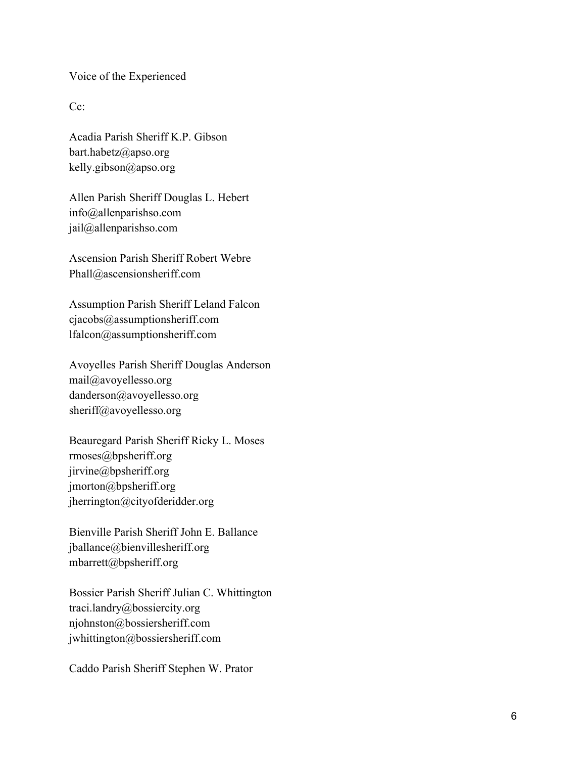Voice of the Experienced

Cc:

Acadia Parish Sheriff K.P. Gibson bart.habetz@apso.org kelly.gibson@apso.org

Allen Parish Sheriff Douglas L. Hebert info@allenparishso.com jail@allenparishso.com

Ascension Parish Sheriff Robert Webre Phall@ascensionsheriff.com

Assumption Parish Sheriff Leland Falcon cjacobs@assumptionsheriff.com lfalcon@assumptionsheriff.com

Avoyelles Parish Sheriff Douglas Anderson mail@avoyellesso.org danderson@avoyellesso.org sheriff@avoyellesso.org

Beauregard Parish Sheriff Ricky L. Moses rmoses@bpsheriff.org jirvine@bpsheriff.org jmorton@bpsheriff.org jherrington@cityofderidder.or g

Bienville Parish Sheriff John E. Ballance jballance@bienvillesheriff.org mbarrett@bpsheriff.org

Bossier Parish Sheriff Julian C. Whittington traci.landry@bossiercity.org njohnston@bossiersheriff.com jwhittington@bossiersheriff.com

Caddo Parish Sheriff Stephen W. Prator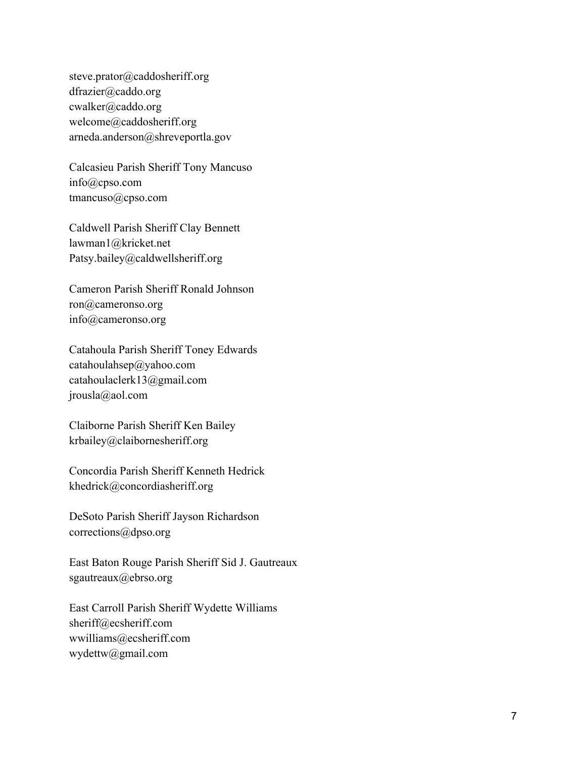steve.prator@caddosheriff.org dfrazier@caddo.org cwalker@caddo.org welcome@caddosheriff.org arneda.anderson@shreveportla.gov

Calcasieu Parish Sheriff Tony Mancuso info@cpso.com tmancuso@cpso.com

Caldwell Parish Sheriff Clay Bennett lawman1@kricket.net Patsy.bailey@caldwellsheriff.org

Cameron Parish Sheriff Ronald Johnson ron@cameronso.org info@cameronso.org

Catahoula Parish Sheriff Toney Edwards catahoulahsep@yahoo.com catahoulaclerk13@gmail.com jrousla@aol.com

Claiborne Parish Sheriff Ken Bailey krbailey@claibornesheriff.org

Concordia Parish Sheriff Kenneth Hedrick khedrick@concordiasheriff.org

DeSoto Parish Sheriff Jayson Richardson corrections@dpso.org

East Baton Rouge Parish Sheriff Sid J. Gautreaux sgautreaux@ebrso.org

East Carroll Parish Sheriff Wydette Williams sheriff@ecsheriff.com wwilliams@ecsheriff.com wydettw@gmail.com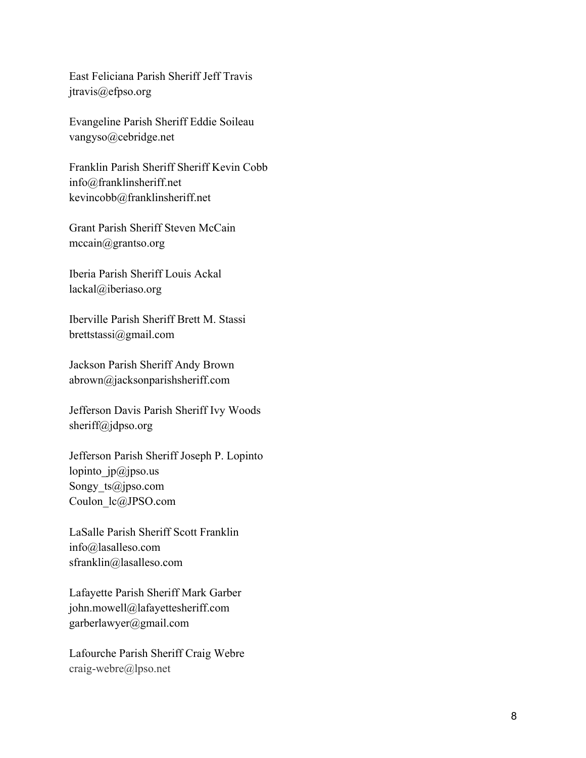East Feliciana Parish Sheriff Jeff Travis jtravis@efpso.org

Evangeline Parish Sheriff Eddie Soileau vangyso@cebridge.net

Franklin Parish Sheriff Sheriff Kevin Cobb info@franklinsheriff.net kevincobb@franklinsheriff.net

Grant Parish Sheriff Steven McCain mccain@grantso.org

Iberia Parish Sheriff Louis Ackal lackal@iberiaso.org

Iberville Parish Sheriff Brett M. Stassi brettstassi@gmail.com

Jackson Parish Sheriff Andy Brown abrown@jacksonparishsheriff.com

Jefferson Davis Parish Sheriff Ivy Woods sheriff@jdpso.org

Jefferson Parish Sheriff Joseph P. Lopinto lopinto  $ip@jpso.us$ Songy ts@jpso.com Coulon\_lc@JPSO.com

LaSalle Parish Sheriff Scott Franklin info@lasalleso.com sfranklin@lasalleso.com

Lafayette Parish Sheriff Mark Garber john.mowell@lafayettesheriff.com garberlawyer@gmail.com

Lafourche Parish Sheriff Craig Webre craig -webre@lpso.net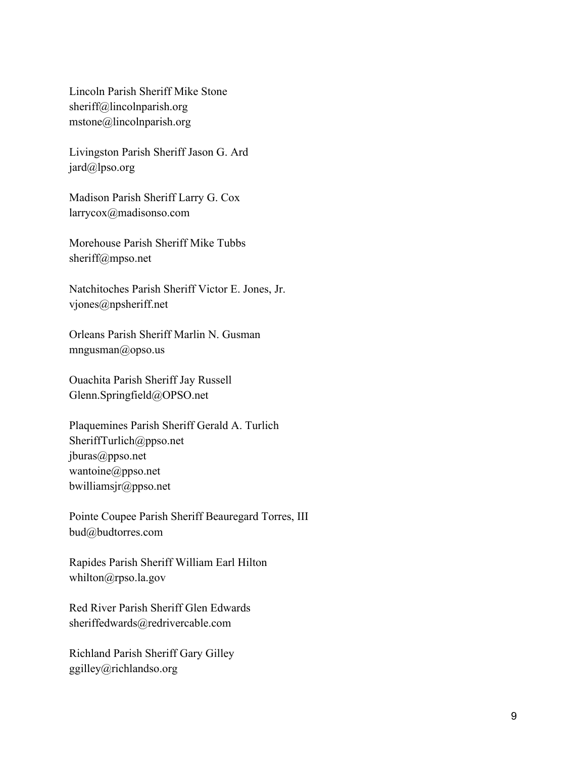Lincoln Parish Sheriff Mike Stone sheriff@lincolnparish.org mstone@lincolnparish.org

Livingston Parish Sheriff Jason G. Ard jard@lpso.org

Madison Parish Sheriff Larry G. Cox larrycox@madisonso.com

Morehouse Parish Sheriff Mike Tubbs sheriff@mpso.net

Natchitoches Parish Sheriff Victor E. Jones, Jr. vjones@npsheriff.net

Orleans Parish Sheriff Marlin N. Gusman mngusman@opso.us

Ouachita Parish Sheriff Jay Russell Glenn.Springfield@OPSO.net

Plaquemines Parish Sheriff Gerald A. Turlich SheriffTurlich@ppso.net jburas@ppso.net wantoine@ppso.net bwilliamsjr@ppso.net

Pointe Coupee Parish Sheriff Beauregard Torres, III bud@budtorres.com

Rapides Parish Sheriff William Earl Hilton whilton@rpso.la.gov

Red River Parish Sheriff Glen Edwards sheriffedwards@redrivercable.com

Richland Parish Sheriff Gary Gilley ggilley@richlandso.org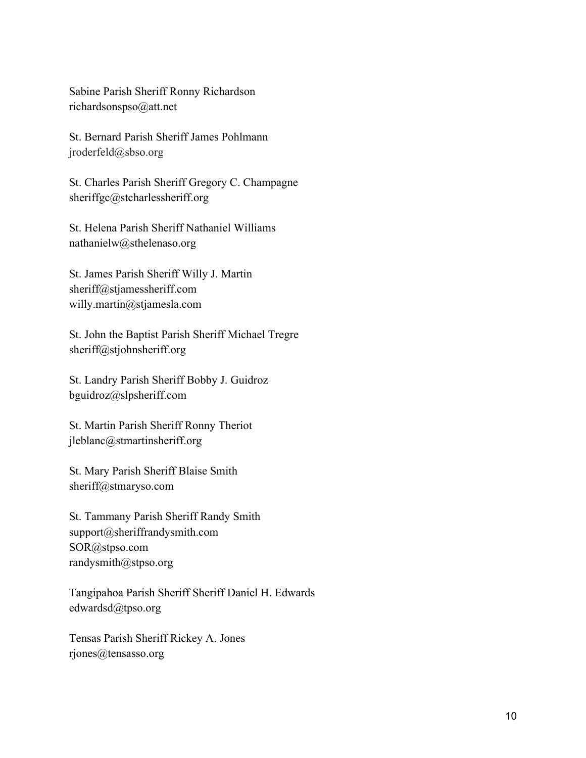Sabine Parish Sheriff Ronny Richardson richardsonspso@att.net

St. Bernard Parish Sheriff James Pohlmann jroderfeld@sbso.org

St. Charles Parish Sheriff Gregory C. Champagne sheriffgc@stcharlessheriff.org

St. Helena Parish Sheriff Nathaniel Williams nathanielw@sthelenaso.org

St. James Parish Sheriff Willy J. Martin sheriff@stjamessheriff.com willy.martin@stjamesla.com

St. John the Baptist Parish Sheriff Michael Tregre sheriff@stjohnsheriff.org

St. Landry Parish Sheriff Bobby J. Guidroz bguidroz@slpsheriff.com

St. Martin Parish Sheriff Ronny Theriot jleblanc@stmartinsheriff.org

St. Mary Parish Sheriff Blaise Smith sheriff@stmaryso.com

St. Tammany Parish Sheriff Randy Smith support@sheriffrandysmith.com SOR@stpso.com randysmith@stpso.org

Tangipahoa Parish Sheriff Sheriff Daniel H. Edwards edwardsd@tpso.org

Tensas Parish Sheriff Rickey A. Jones rjones@tensasso.org